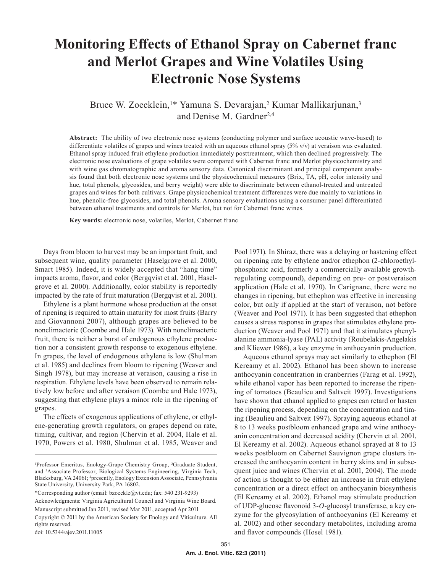# **Monitoring Effects of Ethanol Spray on Cabernet franc and Merlot Grapes and Wine Volatiles Using Electronic Nose Systems**

## Bruce W. Zoecklein,<sup>1\*</sup> Yamuna S. Devarajan,<sup>2</sup> Kumar Mallikarjunan,<sup>3</sup> and Denise M. Gardner<sup>2,4</sup>

**Abstract:** The ability of two electronic nose systems (conducting polymer and surface acoustic wave-based) to differentiate volatiles of grapes and wines treated with an aqueous ethanol spray  $(5\% \text{ v/v})$  at veraison was evaluated. Ethanol spray induced fruit ethylene production immediately posttreatment, which then declined progressively. The electronic nose evaluations of grape volatiles were compared with Cabernet franc and Merlot physicochemistry and with wine gas chromatographic and aroma sensory data. Canonical discriminant and principal component analysis found that both electronic nose systems and the physicochemical measures (Brix, TA, pH, color intensity and hue, total phenols, glycosides, and berry weight) were able to discriminate between ethanol-treated and untreated grapes and wines for both cultivars. Grape physicochemical treatment differences were due mainly to variations in hue, phenolic-free glycosides, and total phenols. Aroma sensory evaluations using a consumer panel differentiated between ethanol treatments and controls for Merlot, but not for Cabernet franc wines.

**Key words:** electronic nose, volatiles, Merlot, Cabernet franc

Days from bloom to harvest may be an important fruit, and subsequent wine, quality parameter (Haselgrove et al. 2000, Smart 1985). Indeed, it is widely accepted that "hang time" impacts aroma, flavor, and color (Bergqvist et al. 2001, Haselgrove et al. 2000). Additionally, color stability is reportedly impacted by the rate of fruit maturation (Bergqvist et al. 2001).

Ethylene is a plant hormone whose production at the onset of ripening is required to attain maturity for most fruits (Barry and Giovannoni 2007), although grapes are believed to be nonclimacteric (Coombe and Hale 1973). With nonclimacteric fruit, there is neither a burst of endogenous ethylene production nor a consistent growth response to exogenous ethylene. In grapes, the level of endogenous ethylene is low (Shulman et al. 1985) and declines from bloom to ripening (Weaver and Singh 1978), but may increase at veraison, causing a rise in respiration. Ethylene levels have been observed to remain relatively low before and after veraison (Coombe and Hale 1973), suggesting that ethylene plays a minor role in the ripening of grapes.

The effects of exogenous applications of ethylene, or ethylene-generating growth regulators, on grapes depend on rate, timing, cultivar, and region (Chervin et al. 2004, Hale et al. 1970, Powers et al. 1980, Shulman et al. 1985, Weaver and

Acknowledgments: Virginia Agricultural Council and Virginia Wine Board. Manuscript submitted Jan 2011, revised Mar 2011, accepted Apr 2011

Copyright © 2011 by the American Society for Enology and Viticulture. All rights reserved.

doi: 10.5344/ajev.2011.11005

Pool 1971). In Shiraz, there was a delaying or hastening effect on ripening rate by ethylene and/or ethephon (2-chloroethylphosphonic acid, formerly a commercially available growthregulating compound), depending on pre- or postveraison application (Hale et al. 1970). In Carignane, there were no changes in ripening, but ethephon was effective in increasing color, but only if applied at the start of veraison, not before (Weaver and Pool 1971). It has been suggested that ethephon causes a stress response in grapes that stimulates ethylene production (Weaver and Pool 1971) and that it stimulates phenylalanine ammonia-lyase (PAL) activity (Roubelakis-Angelakis and Kliewer 1986), a key enzyme in anthocyanin production.

Aqueous ethanol sprays may act similarly to ethephon (El Kereamy et al. 2002). Ethanol has been shown to increase anthocyanin concentration in cranberries (Farag et al. 1992), while ethanol vapor has been reported to increase the ripening of tomatoes (Beaulieu and Saltveit 1997). Investigations have shown that ethanol applied to grapes can retard or hasten the ripening process, depending on the concentration and timing (Beaulieu and Saltveit 1997). Spraying aqueous ethanol at 8 to 13 weeks postbloom enhanced grape and wine anthocyanin concentration and decreased acidity (Chervin et al. 2001, El Kereamy et al. 2002). Aqueous ethanol sprayed at 8 to 13 weeks postbloom on Cabernet Sauvignon grape clusters increased the anthocyanin content in berry skins and in subsequent juice and wines (Chervin et al. 2001, 2004). The mode of action is thought to be either an increase in fruit ethylene concentration or a direct effect on anthocyanin biosynthesis (El Kereamy et al. 2002). Ethanol may stimulate production of UDP-glucose flavonoid 3-*O*-glucosyl transferase, a key enzyme for the glycosylation of anthocyanins (El Kereamy et al. 2002) and other secondary metabolites, including aroma and flavor compounds (Hosel 1981).

<sup>1</sup> Professor Emeritus, Enology-Grape Chemistry Group, 2Graduate Student, and 3 Associate Professor, Biological Systems Engineering, Virginia Tech, Blacksburg, VA 24061; 4presently, Enology Extension Associate, Pennsylvania State University, University Park, PA 16802.

<sup>\*</sup>Corresponding author (email: bzoeckle@vt.edu; fax: 540 231-9293)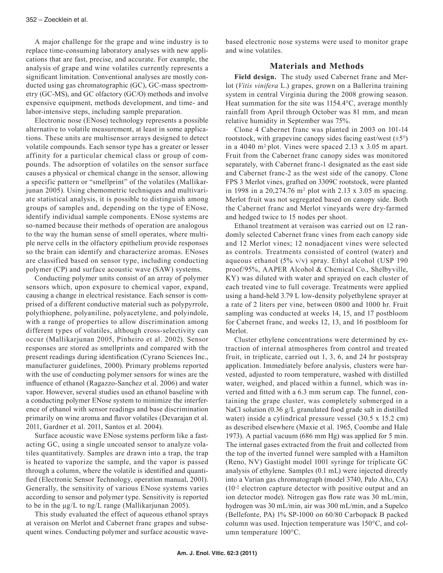A major challenge for the grape and wine industry is to replace time-consuming laboratory analyses with new applications that are fast, precise, and accurate. For example, the analysis of grape and wine volatiles currently represents a significant limitation. Conventional analyses are mostly conducted using gas chromatographic (GC), GC-mass spectrometry (GC-MS), and GC olfactory (GC/O) methods and involve expensive equipment, methods development, and time- and labor-intensive steps, including sample preparation.

Electronic nose (ENose) technology represents a possible alternative to volatile measurement, at least in some applications. These units are multisensor arrays designed to detect volatile compounds. Each sensor type has a greater or lesser affinity for a particular chemical class or group of compounds. The adsorption of volatiles on the sensor surface causes a physical or chemical change in the sensor, allowing a specific pattern or "smellprint" of the volatiles (Mallikarjunan 2005). Using chemometric techniques and multivariate statistical analysis, it is possible to distinguish among groups of samples and, depending on the type of ENose, identify individual sample components. ENose systems are so-named because their methods of operation are analogous to the way the human sense of smell operates, where multiple nerve cells in the olfactory epithelium provide responses so the brain can identify and characterize aromas. ENoses are classified based on sensor type, including conducting polymer (CP) and surface acoustic wave (SAW) systems.

Conducting polymer units consist of an array of polymer sensors which, upon exposure to chemical vapor, expand, causing a change in electrical resistance. Each sensor is comprised of a different conductive material such as polypyrrole, polythiophene, polyaniline, polyacetylene, and polyindole, with a range of properties to allow discrimination among different types of volatiles, although cross-selectivity can occur (Mallikarjunan 2005, Pinheiro et al. 2002). Sensor responses are stored as smellprints and compared with the present readings during identification (Cyrano Sciences Inc., manufacturer guidelines, 2000). Primary problems reported with the use of conducting polymer sensors for wines are the influence of ethanol (Ragazzo-Sanchez et al. 2006) and water vapor. However, several studies used an ethanol baseline with a conducting polymer ENose system to minimize the interference of ethanol with sensor readings and base discrimination primarily on wine aroma and flavor volatiles (Devarajan et al. 2011, Gardner et al. 2011, Santos et al. 2004).

Surface acoustic wave ENose systems perform like a fastacting GC, using a single uncoated sensor to analyze volatiles quantitatively. Samples are drawn into a trap, the trap is heated to vaporize the sample, and the vapor is passed through a column, where the volatile is identified and quantified (Electronic Sensor Technology, operation manual, 2001). Generally, the sensitivity of various ENose systems varies according to sensor and polymer type. Sensitivity is reported to be in the  $\mu$ g/L to ng/L range (Mallikarjunan 2005).

This study evaluated the effect of aqueous ethanol sprays at veraison on Merlot and Cabernet franc grapes and subsequent wines. Conducting polymer and surface acoustic wavebased electronic nose systems were used to monitor grape and wine volatiles.

#### **Materials and Methods**

**Field design.** The study used Cabernet franc and Merlot (*Vitis vinifera* L.) grapes, grown on a Ballerina training system in central Virginia during the 2008 growing season. Heat summation for the site was 1154.4°C, average monthly rainfall from April through October was 81 mm, and mean relative humidity in September was 75%.

Clone 4 Cabernet franc was planted in 2003 on 101-14 rootstock, with grapevine canopy sides facing east/west  $(\pm 5^{\circ})$ in a 4040 m2 plot. Vines were spaced 2.13 x 3.05 m apart. Fruit from the Cabernet franc canopy sides was monitored separately, with Cabernet franc-1 designated as the east side and Cabernet franc-2 as the west side of the canopy. Clone FPS 3 Merlot vines, grafted on 3309C rootstock, were planted in 1998 in a 20,274.76 m2 plot with 2.13 x 3.05 m spacing. Merlot fruit was not segregated based on canopy side. Both the Cabernet franc and Merlot vineyards were dry-farmed and hedged twice to 15 nodes per shoot.

Ethanol treatment at veraison was carried out on 12 randomly selected Cabernet franc vines from each canopy side and 12 Merlot vines; 12 nonadjacent vines were selected as controls. Treatments consisted of control (water) and aqueous ethanol (5% v/v) spray. Ethyl alcohol (USP 190 proof/95%, AAPER Alcohol & Chemical Co., Shelbyville, KY) was diluted with water and sprayed on each cluster of each treated vine to full coverage. Treatments were applied using a hand-held 3.79 L low-density polyethylene sprayer at a rate of 2 liters per vine, between 0800 and 1000 hr. Fruit sampling was conducted at weeks 14, 15, and 17 postbloom for Cabernet franc, and weeks 12, 13, and 16 postbloom for Merlot.

Cluster ethylene concentrations were determined by extraction of internal atmospheres from control and treated fruit, in triplicate, carried out 1, 3, 6, and 24 hr postspray application. Immediately before analysis, clusters were harvested, adjusted to room temperature, washed with distilled water, weighed, and placed within a funnel, which was inverted and fitted with a 6.3 mm serum cap. The funnel, containing the grape cluster, was completely submerged in a NaCl solution (0.36 g/L granulated food grade salt in distilled water) inside a cylindrical pressure vessel (30.5 x 15.2 cm) as described elsewhere (Maxie et al. 1965, Coombe and Hale 1973). A partial vacuum (686 mm Hg) was applied for 5 min. The internal gases extracted from the fruit and collected from the top of the inverted funnel were sampled with a Hamilton (Reno, NV) Gastight model 1001 syringe for triplicate GC analysis of ethylene. Samples (0.1 mL) were injected directly into a Varian gas chromatograph (model 3740, Palo Alto, CA) (10-2 electron capture detector with positive output and an ion detector mode). Nitrogen gas flow rate was 30 mL/min, hydrogen was 30 mL/min, air was 300 mL/min, and a Supelco (Bellefonte, PA) 1% SP-1000 on 60/80 Carbopack B packed column was used. Injection temperature was 150°C, and column temperature 100°C.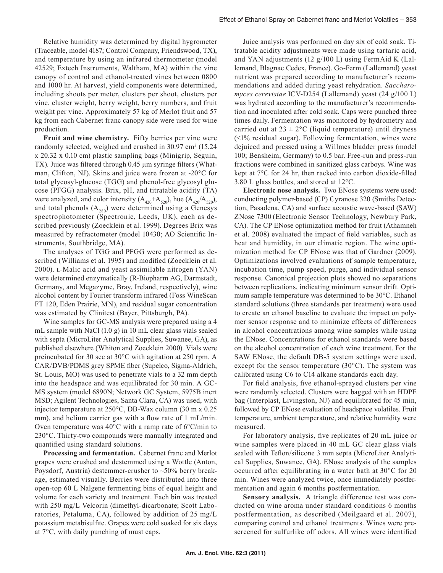Relative humidity was determined by digital hygrometer (Traceable, model 4187; Control Company, Friendswood, TX), and temperature by using an infrared thermometer (model 42529; Extech Instruments, Waltham, MA) within the vine canopy of control and ethanol-treated vines between 0800 and 1000 hr. At harvest, yield components were determined, including shoots per meter, clusters per shoot, clusters per vine, cluster weight, berry weight, berry numbers, and fruit weight per vine. Approximately 57 kg of Merlot fruit and 57 kg from each Cabernet franc canopy side were used for wine production.

**Fruit and wine chemistry.** Fifty berries per vine were randomly selected, weighed and crushed in 30.97 cm<sup>3</sup> (15.24) x 20.32 x 0.10 cm) plastic sampling bags (Minigrip, Seguin, TX). Juice was filtered through 0.45 µm syringe filters (Whatman, Clifton, NJ). Skins and juice were frozen at -20°C for total glycosyl-glucose (TGG) and phenol-free glycosyl glucose (PFGG) analysis. Brix, pH, and titratable acidity (TA) were analyzed, and color intensity  $(A_{420}+A_{520})$ , hue  $(A_{420}/A_{520})$ , and total phenols  $(A_{280})$  were determined using a Genesys spectrophotometer (Spectronic, Leeds, UK), each as described previously (Zoecklein et al. 1999). Degrees Brix was measured by refractometer (model 10430; AO Scientific Instruments, Southbridge, MA).

The analyses of TGG and PFGG were performed as described (Williams et al. 1995) and modified (Zoecklein et al. 2000). l-Malic acid and yeast assimilable nitrogen (YAN) were determined enzymatically (R-Biopharm AG, Darmstadt, Germany, and Megazyme, Bray, Ireland, respectively), wine alcohol content by Fourier transform infrared (Foss WineScan FT 120, Eden Prairie, MN), and residual sugar concentration was estimated by Clinitest (Bayer, Pittsburgh, PA).

Wine samples for GC-MS analysis were prepared using a 4 mL sample with NaCl (1.0 g) in 10 mL clear glass vials sealed with septa (MicroLiter Analytical Supplies, Suwanee, GA), as published elsewhere (Whiton and Zoecklein 2000). Vials were preincubated for 30 sec at 30°C with agitation at 250 rpm. A CAR/DVB/PDMS grey SPME fiber (Supelco, Sigma-Aldrich, St. Louis, MO) was used to penetrate vials to a 32 mm depth into the headspace and was equilibrated for 30 min. A GC-MS system (model 6890N; Network GC System, 5975B inert MSD; Agilent Technologies, Santa Clara, CA) was used, with injector temperature at 250°C, DB-Wax column (30 m x 0.25 mm), and helium carrier gas with a flow rate of 1 mL/min. Oven temperature was  $40^{\circ}$ C with a ramp rate of  $6^{\circ}$ C/min to 230°C. Thirty-two compounds were manually integrated and quantified using standard solutions.

**Processing and fermentation.** Cabernet franc and Merlot grapes were crushed and destemmed using a Wottle (Anton, Poysdorf, Austria) destemmer-crusher to  $\sim$ 50% berry breakage, estimated visually. Berries were distributed into three open-top 60 L Nalgene fermenting bins of equal height and volume for each variety and treatment. Each bin was treated with 250 mg/L Velcorin (dimethyl-dicarbonate; Scott Laboratories, Petaluma, CA), followed by addition of 25 mg/L potassium metabisulfite. Grapes were cold soaked for six days at 7°C, with daily punching of must caps.

Juice analysis was performed on day six of cold soak. Titratable acidity adjustments were made using tartaric acid, and YAN adjustments (12 g/100 L) using FermAid K (Lallemand, Blagnac Cedex, France). Go-Ferm (Lallemand) yeast nutrient was prepared according to manufacturer's recommendations and added during yeast rehydration. *Saccharomyces cerevisiae* ICV-D254 (Lallemand) yeast (24 g/100 L) was hydrated according to the manufacturer's recommendation and inoculated after cold soak. Caps were punched three times daily. Fermentation was monitored by hydrometry and carried out at  $23 \pm 2$ °C (liquid temperature) until dryness (<1% residual sugar). Following fermentation, wines were dejuiced and pressed using a Willmes bladder press (model 100; Bensheim, Germany) to 0.5 bar. Free-run and press-run fractions were combined in sanitized glass carboys. Wine was kept at 7°C for 24 hr, then racked into carbon dioxide-filled 3.80 L glass bottles, and stored at 12°C.

**Electronic nose analysis.** Two ENose systems were used: conducting polymer-based (CP) Cyranose 320 (Smiths Detection, Pasadena, CA) and surface acoustic wave-based (SAW) ZNose 7300 (Electronic Sensor Technology, Newbury Park, CA). The CP ENose optimization method for fruit (Athamneh et al. 2008) evaluated the impact of field variables, such as heat and humidity, in our climatic region. The wine optimization method for CP ENose was that of Gardner (2009). Optimizations involved evaluations of sample temperature, incubation time, pump speed, purge, and individual sensor response. Canonical projection plots showed no separations between replications, indicating minimum sensor drift. Optimum sample temperature was determined to be 30°C. Ethanol standard solutions (three standards per treatment) were used to create an ethanol baseline to evaluate the impact on polymer sensor response and to minimize effects of differences in alcohol concentrations among wine samples while using the ENose. Concentrations for ethanol standards were based on the alcohol concentration of each wine treatment. For the SAW ENose, the default DB-5 system settings were used, except for the sensor temperature  $(30^{\circ}C)$ . The system was calibrated using C6 to C14 alkane standards each day.

For field analysis, five ethanol-sprayed clusters per vine were randomly selected. Clusters were bagged with an HDPE bag (Interplast, Livingston, NJ) and equilibrated for 45 min, followed by CP ENose evaluation of headspace volatiles. Fruit temperature, ambient temperature, and relative humidity were measured.

For laboratory analysis, five replicates of 20 mL juice or wine samples were placed in 40 mL GC clear glass vials sealed with Teflon/silicone 3 mm septa (MicroLiter Analytical Supplies, Suwanee, GA). ENose analysis of the samples occurred after equilibrating in a water bath at 30°C for 20 min. Wines were analyzed twice, once immediately postfermentation and again 6 months postfermentation.

**Sensory analysis.** A triangle difference test was conducted on wine aroma under standard conditions 6 months postfermentation, as described (Meilgaard et al. 2007), comparing control and ethanol treatments. Wines were prescreened for sulfurlike off odors. All wines were identified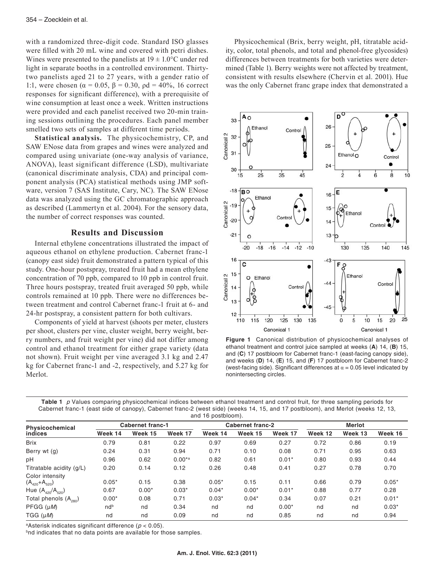with a randomized three-digit code. Standard ISO glasses were filled with 20 mL wine and covered with petri dishes. Wines were presented to the panelists at  $19 \pm 1.0$ °C under red light in separate booths in a controlled environment. Thirtytwo panelists aged 21 to 27 years, with a gender ratio of 1:1, were chosen (α = 0.05, β = 0.30, ρd = 40%, 16 correct responses for significant difference), with a prerequisite of wine consumption at least once a week. Written instructions were provided and each panelist received two 20-min training sessions outlining the procedures. Each panel member smelled two sets of samples at different time periods.

**Statistical analysis.** The physicochemistry, CP, and SAW ENose data from grapes and wines were analyzed and compared using univariate (one-way analysis of variance, ANOVA), least significant difference (LSD), multivariate (canonical discriminate analysis, CDA) and principal component analysis (PCA) statistical methods using JMP software, version 7 (SAS Institute, Cary, NC). The SAW ENose data was analyzed using the GC chromatographic approach as described (Lammertyn et al. 2004). For the sensory data, the number of correct responses was counted.

#### **Results and Discussion**

Internal ethylene concentrations illustrated the impact of aqueous ethanol on ethylene production. Cabernet franc-1 (canopy east side) fruit demonstrated a pattern typical of this study. One-hour postspray, treated fruit had a mean ethylene concentration of 70 ppb, compared to 10 ppb in control fruit. Three hours postspray, treated fruit averaged 50 ppb, while controls remained at 10 ppb. There were no differences between treatment and control Cabernet franc-1 fruit at 6- and 24-hr postspray, a consistent pattern for both cultivars.

Components of yield at harvest (shoots per meter, clusters per shoot, clusters per vine, cluster weight, berry weight, berry numbers, and fruit weight per vine) did not differ among control and ethanol treatment for either grape variety (data not shown). Fruit weight per vine averaged 3.1 kg and 2.47 kg for Cabernet franc-1 and -2, respectively, and 5.27 kg for Merlot.

Physicochemical (Brix, berry weight, pH, titratable acidity, color, total phenols, and total and phenol-free glycosides) differences between treatments for both varieties were determined (Table 1). Berry weights were not affected by treatment, consistent with results elsewhere (Chervin et al. 2001). Hue was the only Cabernet franc grape index that demonstrated a



**Figure 1** Canonical distribution of physicochemical analyses of ethanol treatment and control juice sampled at weeks (**A**) 14, (**B**) 15, and (**C**) 17 postbloom for Cabernet franc-1 (east-facing canopy side), and weeks (**D**) 14, (**E**) 15, and (**F**) 17 postbloom for Cabernet franc-2 (west-facing side). Significant differences at  $\alpha$  = 0.05 level indicated by nonintersecting circles.

| and 16 postbloom).                     |                         |         |             |                         |         |         |               |         |         |
|----------------------------------------|-------------------------|---------|-------------|-------------------------|---------|---------|---------------|---------|---------|
| Physicochemical<br>indices             | <b>Cabernet franc-1</b> |         |             | <b>Cabernet franc-2</b> |         |         | <b>Merlot</b> |         |         |
|                                        | Week 14                 | Week 15 | Week 17     | Week 14                 | Week 15 | Week 17 | Week 12       | Week 13 | Week 16 |
| <b>Brix</b>                            | 0.79                    | 0.81    | 0.22        | 0.97                    | 0.69    | 0.27    | 0.72          | 0.86    | 0.19    |
| Berry wt (g)                           | 0.24                    | 0.31    | 0.94        | 0.71                    | 0.10    | 0.08    | 0.71          | 0.95    | 0.63    |
| рH                                     | 0.96                    | 0.62    | $0.00^{*a}$ | 0.82                    | 0.61    | $0.01*$ | 0.80          | 0.93    | 0.44    |
| Titratable acidity (g/L)               | 0.20                    | 0.14    | 0.12        | 0.26                    | 0.48    | 0.41    | 0.27          | 0.78    | 0.70    |
| Color intensity<br>$(A_{420}+A_{520})$ | $0.05*$                 | 0.15    | 0.38        | $0.05*$                 | 0.15    | 0.11    | 0.66          | 0.79    | $0.05*$ |
| Hue $(A_{420}/A_{520})$                | 0.67                    | $0.00*$ | $0.03*$     | $0.04*$                 | $0.00*$ | $0.01*$ | 0.88          | 0.77    | 0.28    |
| Total phenols $(A_{280})$              | $0.00*$                 | 0.08    | 0.71        | $0.03*$                 | $0.04*$ | 0.34    | 0.07          | 0.21    | $0.01*$ |
| PFGG (µM)                              | ndb                     | nd      | 0.34        | nd                      | nd      | $0.00*$ | nd            | nd      | $0.03*$ |
| $TGG$ ( $\mu$ <i>M</i> )               | nd                      | nd      | 0.09        | nd                      | nd      | 0.85    | nd            | nd      | 0.94    |

**Table 1** p Values comparing physicochemical indices between ethanol treatment and control fruit, for three sampling periods for Cabernet franc-1 (east side of canopy), Cabernet franc-2 (west side) (weeks 14, 15, and 17 postbloom), and Merlot (weeks 12, 13,

aAsterisk indicates significant difference ( $p < 0.05$ ).

**bnd indicates that no data points are available for those samples.**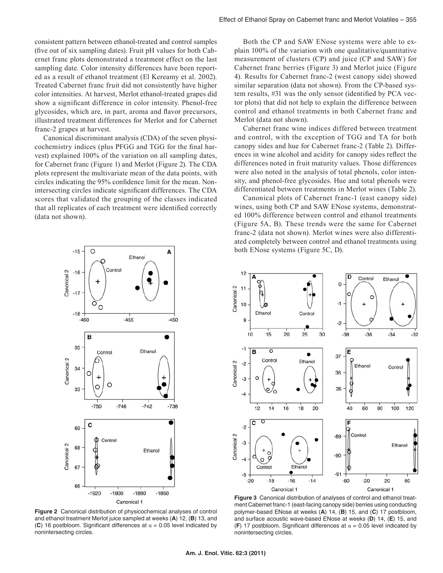consistent pattern between ethanol-treated and control samples (five out of six sampling dates). Fruit pH values for both Cabernet franc plots demonstrated a treatment effect on the last sampling date. Color intensity differences have been reported as a result of ethanol treatment (El Kereamy et al. 2002). Treated Cabernet franc fruit did not consistently have higher color intensities. At harvest, Merlot ethanol-treated grapes did show a significant difference in color intensity. Phenol-free glycosides, which are, in part, aroma and flavor precursors, illustrated treatment differences for Merlot and for Cabernet franc-2 grapes at harvest.

Canonical discriminant analysis (CDA) of the seven physicochemistry indices (plus PFGG and TGG for the final harvest) explained 100% of the variation on all sampling dates, for Cabernet franc (Figure 1) and Merlot (Figure 2). The CDA plots represent the multivariate mean of the data points, with circles indicating the 95% confidence limit for the mean. Nonintersecting circles indicate significant differences. The CDA scores that validated the grouping of the classes indicated that all replicates of each treatment were identified correctly (data not shown).

A

 $\circ$ 

 $-15$ 

Ethanol Control Canonical<sub>2</sub>  $-16$  $-17$  $\circ$  $-18$  $-460$  $-455$  $-450$ в  $\bullet$ 35 Ethanol Control Canonical 2 34  $\Omega$ 4  $\circ$ О 33  $-750$  $-746$  $-742$  $-738$ C 69 Control Canonical 2 68 ф Ethanol 67 66  $-1920$  $-1900$  $-1880$  $-1860$ Canonical 1

**Figure 2** Canonical distribution of physicochemical analyses of control and ethanol treatment Merlot juice sampled at weeks (**A**) 12, (**B**) 13, and (C) 16 postbloom. Significant differences at  $\alpha$  = 0.05 level indicated by nonintersecting circles.

Both the CP and SAW ENose systems were able to explain 100% of the variation with one qualitative/quantitative measurement of clusters (CP) and juice (CP and SAW) for Cabernet franc berries (Figure 3) and Merlot juice (Figure 4). Results for Cabernet franc-2 (west canopy side) showed similar separation (data not shown). From the CP-based system results, #31 was the only sensor (identified by PCA vector plots) that did not help to explain the difference between control and ethanol treatments in both Cabernet franc and Merlot (data not shown).

Cabernet franc wine indices differed between treatment and control, with the exception of TGG and TA for both canopy sides and hue for Cabernet franc-2 (Table 2). Differences in wine alcohol and acidity for canopy sides reflect the differences noted in fruit maturity values. Those differences were also noted in the analysis of total phenols, color intensity, and phenol-free glycosides. Hue and total phenols were differentiated between treatments in Merlot wines (Table 2).

Canonical plots of Cabernet franc-1 (east canopy side) wines, using both CP and SAW ENose systems, demonstrated 100% difference between control and ethanol treatments (Figure 5A, B). These trends were the same for Cabernet franc-2 (data not shown). Merlot wines were also differentiated completely between control and ethanol treatments using both ENose systems (Figure 5C, D).



**Figure 3** Canonical distribution of analyses of control and ethanol treatment Cabernet franc-1 (east-facing canopy side) berries using conducting polymer-based ENose at weeks (**A**) 14, (**B**) 15, and (**C**) 17 postbloom, and surface acoustic wave-based ENose at weeks (**D**) 14, (**E**) 15, and (F) 17 postbloom. Significant differences at  $\alpha$  = 0.05 level indicated by nonintersecting circles.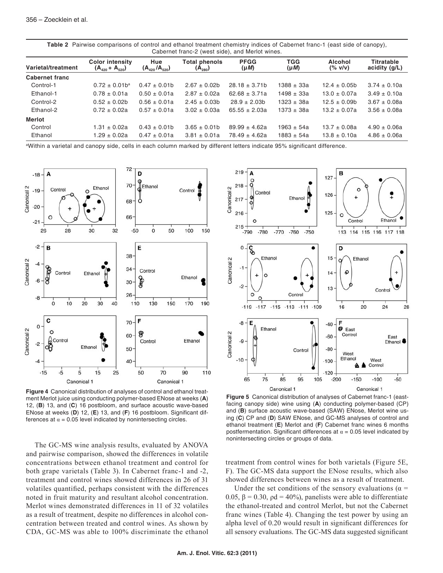| Cabernet franc-2 (west side), and Merlot wines. |                                                 |                            |                                             |                              |                         |                           |                                    |  |  |
|-------------------------------------------------|-------------------------------------------------|----------------------------|---------------------------------------------|------------------------------|-------------------------|---------------------------|------------------------------------|--|--|
| Varietal/treatment                              | <b>Color intensity</b><br>$(A_{420} + A_{520})$ | Hue<br>$(A_{420}/A_{520})$ | <b>Total phenols</b><br>(A <sub>280</sub> ) | <b>PFGG</b><br>(µ <i>M</i> ) | <b>TGG</b><br>$(\mu M)$ | <b>Alcohol</b><br>(% v/v) | <b>Titratable</b><br>acidity (g/L) |  |  |
| <b>Cabernet franc</b>                           |                                                 |                            |                                             |                              |                         |                           |                                    |  |  |
| Control-1                                       | $0.72 \pm 0.01b^a$                              | $0.47 \pm 0.01$            | $2.67 \pm 0.02b$                            | $28.18 \pm 3.71b$            | $1388 \pm 33a$          | $12.4 \pm 0.05b$          | $3.74 \pm 0.10a$                   |  |  |
| Ethanol-1                                       | $0.78 \pm 0.01a$                                | $0.50 \pm 0.01a$           | $2.87 \pm 0.02a$                            | $62.68 \pm 3.71a$            | $1498 \pm 33a$          | $13.0 \pm 0.07a$          | $3.49 \pm 0.10a$                   |  |  |
| Control-2                                       | $0.52 \pm 0.02b$                                | $0.56 \pm 0.01a$           | $2.45 \pm 0.03b$                            | $28.9 \pm 2.03b$             | $1323 \pm 38a$          | $12.5 \pm 0.09$           | $3.67 \pm 0.08a$                   |  |  |
| Ethanol-2                                       | $0.72 \pm 0.02a$                                | $0.57 \pm 0.01a$           | $3.02 \pm 0.03a$                            | $65.55 \pm 2.03a$            | $1373 \pm 38a$          | $13.2 \pm 0.07a$          | $3.56 \pm 0.08a$                   |  |  |
| <b>Merlot</b>                                   |                                                 |                            |                                             |                              |                         |                           |                                    |  |  |
| Control                                         | $1.31 \pm 0.02a$                                | $0.43 \pm 0.01b$           | $3.65 \pm 0.01b$                            | $89.99 \pm 4.62a$            | $1963 \pm 54a$          | $13.7 \pm 0.08a$          | $4.90 \pm 0.06a$                   |  |  |
| Ethanol                                         | $1.29 \pm 0.02a$                                | $0.47 \pm 0.01a$           | $3.81 \pm 0.01a$                            | $78.49 \pm 4.62a$            | $1883 \pm 54a$          | $13.8 \pm 0.10a$          | $4.86 \pm 0.06a$                   |  |  |

**Table 2** Pairwise comparisons of control and ethanol treatment chemistry indices of Cabernet franc-1 (east side of canopy),

aWithin a varietal and canopy side, cells in each column marked by different letters indicate 95% significant difference.



**Figure 4** Canonical distribution of analyses of control and ethanol treatment Merlot juice using conducting polymer-based ENose at weeks (**A**) 12, (**B**) 13, and (**C**) 16 postbloom, and surface acoustic wave-based ENose at weeks (**D**) 12, (**E**) 13, and (**F**) 16 postbloom. Significant differences at  $\alpha$  = 0.05 level indicated by nonintersecting circles.

The GC-MS wine analysis results, evaluated by ANOVA and pairwise comparison, showed the differences in volatile concentrations between ethanol treatment and control for both grape varietals (Table 3). In Cabernet franc-1 and -2, treatment and control wines showed differences in 26 of 31 volatiles quantified, perhaps consistent with the differences noted in fruit maturity and resultant alcohol concentration. Merlot wines demonstrated differences in 11 of 32 volatiles as a result of treatment, despite no differences in alcohol concentration between treated and control wines. As shown by CDA, GC-MS was able to 100% discriminate the ethanol



**Figure 5** Canonical distribution of analyses of Cabernet franc-1 (eastfacing canopy side) wine using (**A**) conducting polymer-based (CP) and (**B**) surface acoustic wave-based (SAW) ENose, Merlot wine using (**C**) CP and (**D**) SAW ENose, and GC-MS analyses of control and ethanol treatment (**E**) Merlot and (**F**) Cabernet franc wines 6 months postfermentation. Significant differences at  $\alpha$  = 0.05 level indicated by nonintersecting circles or groups of data.

treatment from control wines for both varietals (Figure 5E, F). The GC-MS data support the ENose results, which also showed differences between wines as a result of treatment.

Under the set conditions of the sensory evaluations ( $\alpha$  = 0.05,  $\beta$  = 0.30,  $\rho$ d = 40%), panelists were able to differentiate the ethanol-treated and control Merlot, but not the Cabernet franc wines (Table 4). Changing the test power by using an alpha level of 0.20 would result in significant differences for all sensory evaluations. The GC-MS data suggested significant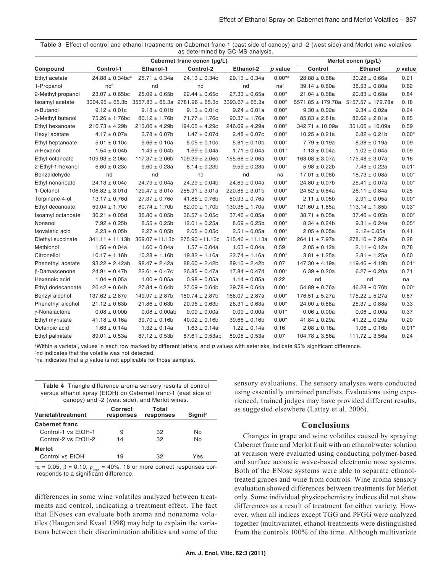| Table 3 Effect of control and ethanol treatments on Cabernet franc-1 (east side of canopy) and -2 (west side) and Merlot wine volatiles |                                  |  |  |  |  |
|-----------------------------------------------------------------------------------------------------------------------------------------|----------------------------------|--|--|--|--|
|                                                                                                                                         | as determined by GC-MS analysis. |  |  |  |  |

|                   |                      |                                         | Cabernet franc concn (µg/L) |                     |             |                       | Merlot concn (µg/L)   |         |
|-------------------|----------------------|-----------------------------------------|-----------------------------|---------------------|-------------|-----------------------|-----------------------|---------|
| Compound          | Control-1            | Ethanol-1                               | Control-2                   | Ethanol-2           | p value     | Control               | Ethanol               | p value |
| Ethyl acetate     | $24.88 \pm 0.34$ bca | $25.71 \pm 0.34a$                       | $24.13 \pm 0.34c$           | $29.13 \pm 0.34a$   | $0.00^{*a}$ | $28.88 \pm 0.66a$     | $30.28 \pm 0.66a$     | 0.21    |
| 1-Propanol        | ndb                  | nd                                      | nd                          | nd                  | nac         | $39.14 \pm 0.80a$     | $38.53 \pm 0.80a$     | 0.62    |
| 2-Methyl propanol | $23.07 \pm 0.65$ bc  | $25.09 \pm 0.65b$                       | $22.44 \pm 0.65c$           | $27.33 \pm 0.65a$   | $0.00*$     | $21.04 \pm 0.68a$     | $20.83 \pm 0.68a$     | 0.84    |
| Isoamyl acetate   | $3004.95 \pm 65.3b$  | $3557.83 \pm 65.3a$ 2781.96 $\pm 65.3c$ |                             | $3393.67 \pm 65.3a$ | $0.00*$     | $5571.85 \pm 179.78a$ | $5157.57 \pm 179.78a$ | 0.18    |
| n-Butanol         | $9.12 \pm 0.01c$     | $9.18 \pm 0.01$                         | $9.13 \pm 0.01c$            | $9.24 \pm 0.01a$    | $0.00*$     | $9.30 \pm 0.02a$      | $9.34 \pm 0.02a$      | 0.24    |
| 3-Methyl butanol  | $75.26 \pm 1.76$ bc  | $80.12 \pm 1.76b$                       | $71.77 \pm 1.76c$           | $90.37 \pm 1.76a$   | $0.00*$     | $85.83 \pm 2.81a$     | $86.62 \pm 2.81a$     | 0.85    |
| Ethyl hexanoate   | $216.73 \pm 4.29b$   | $213.06 \pm 4.29b$                      | $194.05 \pm 4.29c$          | $246.09 \pm 4.29a$  | $0.00*$     | $342.71 \pm 10.09a$   | $351.06 \pm 10.09a$   | 0.59    |
| Hexyl acetate     | $4.17 \pm 0.07a$     | $3.78 \pm 0.07$ b                       | $1.47 \pm 0.07d$            | $2.48 \pm 0.07c$    | $0.00*$     | $10.25 \pm 0.21a$     | $6.82 \pm 0.21b$      | $0.00*$ |
| Ethyl heptanoate  | $5.01 \pm 0.10c$     | $9.66 \pm 0.10a$                        | $5.05 \pm 0.10c$            | $5.81 \pm 0.10b$    | $0.00*$     | $7.79 \pm 0.19a$      | $8.38 \pm 0.19a$      | 0.09    |
| n-Hexanol         | $1.54 \pm 0.04b$     | $1.49 \pm 0.04b$                        | $1.69 \pm 0.04a$            | $1.71 \pm 0.04a$    | $0.01*$     | $1.13 \pm 0.04a$      | $1.02 \pm 0.04a$      | 0.09    |
| Ethyl octanoate   | $109.93 \pm 2.06c$   | $117.37 \pm 2.06b$                      | $109.39 \pm 2.06c$          | $155.68 \pm 2.06a$  | $0.00*$     | $168.08 \pm 3.07a$    | $175.48 \pm 3.07a$    | 0.16    |
| 2-Ethyl-1-hexanol | $6.60 \pm 0.23c$     | $9.60 \pm 0.23a$                        | $8.14 \pm 0.23b$            | $9.59 \pm 0.23a$    | $0.00*$     | $5.98 \pm 0.22b$      | $7.48 \pm 0.22a$      | $0.01*$ |
| Benzaldehyde      | nd                   | nd                                      | nd                          | nd                  | na          | $17.01 \pm 0.08b$     | $18.73 \pm 0.08a$     | $0.00*$ |
| Ethyl nonanoate   | $24.13 \pm 0.04c$    | $24.79 \pm 0.04a$                       | $24.29 \pm 0.04b$           | $24.69 \pm 0.04a$   | $0.00*$     | $24.80 \pm 0.07$ b    | $25.41 \pm 0.07a$     | $0.00*$ |
| 1-Octanol         | $106.82 \pm 3.01d$   | $129.47 \pm 3.01c$                      | $255.91 \pm 3.01a$          | $220.85 \pm 3.01b$  | $0.00*$     | $24.52 \pm 0.84a$     | $26.11 \pm 0.84a$     | 0.25    |
| Terpinene-4-ol    | $13.17 \pm 0.76$ d   | $27.37 \pm 0.76c$                       | $41.86 \pm 0.76b$           | $50.93 \pm 0.76a$   | $0.00*$     | $2.11 \pm 0.05b$      | $2.91 \pm 0.05a$      | $0.00*$ |
| Ethyl decanoate   | $59.04 \pm 1.70c$    | $80.74 \pm 1.70b$                       | $82.00 \pm 1.70b$           | $130.36 \pm 1.70a$  | $0.00*$     | $121.60 \pm 1.85a$    | $113.14 \pm 1.85b$    | $0.03*$ |
| Isoamyl octanoate | $36.21 \pm 0.05d$    | $36.80 \pm 0.05b$                       | $36.57 \pm 0.05c$           | $37.46 \pm 0.05a$   | $0.00*$     | $38.71 \pm 0.05a$     | $37.46 \pm 0.05b$     | $0.00*$ |
| Nonanol           | $7.92 \pm 0.25b$     | $8.55 \pm 0.25b$                        | $12.01 \pm 0.25a$           | $8.69 \pm 0.25b$    | $0.00*$     | $8.34 \pm 0.24b$      | $9.31 \pm 0.24a$      | $0.05*$ |
| Isovaleric acid   | $2.23 \pm 0.05b$     | $2.27 \pm 0.05$ b                       | $2.05 \pm 0.05c$            | $2.51 \pm 0.05a$    | $0.00*$     | $2.05 \pm 0.05a$      | $2.12 \pm 0.05a$      | 0.41    |
| Diethyl succinate | $341.11 \pm 11.13b$  | 369.07 ±11.13b                          | 275.90 ±11.13c              | $515.46 \pm 11.13a$ | $0.00*$     | $264.11 \pm 7.97a$    | $278.10 \pm 7.97a$    | 0.28    |
| Methionol         | $1.56 \pm 0.04a$     | $1.60 \pm 0.04a$                        | $1.57 \pm 0.04a$            | $1.63 \pm 0.04a$    | 0.59        | $2.05 \pm 0.12a$      | $2.11 \pm 0.12a$      | 0.78    |
| Citronellol       | $10.17 \pm 1.16b$    | $10.28 \pm 1.16b$                       | $19.82 \pm 1.16a$           | $22.74 \pm 1.16a$   | $0.00*$     | $3.81 \pm 1.25a$      | $2.81 \pm 1.25a$      | 0.60    |
| Phenethyl acetate | $93.22 \pm 2.42ab$   | $98.47 \pm 2.42a$                       | $88.60 \pm 2.42b$           | $89.15 \pm 2.42b$   | 0.07        | $147.30 \pm 4.19a$    | $119.46 \pm 4.19b$    | $0.01*$ |
| β-Damascenone     | $24.91 \pm 0.47$ b   | $22.61 \pm 0.47c$                       | $26.85 \pm 0.47a$           | $17.84 \pm 0.47$ d  | $0.00*$     | $6.39 \pm 0.20a$      | $6.27 \pm 0.20a$      | 0.71    |
| Hexanoic acid     | $1.04 \pm 0.05a$     | $1.00 \pm 0.05a$                        | $0.98 \pm 0.05a$            | $1.14 \pm 0.05a$    | 0.22        | nd                    | nd                    | na      |
| Ethyl dodecanoate | $26.42 \pm 0.64b$    | $27.84 \pm 0.64$                        | $27.09 \pm 0.64b$           | $39.78 \pm 0.64a$   | $0.00*$     | $54.89 \pm 0.76a$     | $46.28 \pm 0.76b$     | $0.00*$ |
| Benzyl alcohol    | $137.62 \pm 2.87c$   | $149.97 \pm 2.87$ b                     | $150.74 \pm 2.87b$          | $166.07 \pm 2.87a$  | $0.00*$     | $176.51 \pm 5.27a$    | $175.22 \pm 5.27a$    | 0.87    |
| Phenethyl alcohol | $21.12 \pm 0.63b$    | $21.86 \pm 0.63b$                       | $20.96 \pm 0.63b$           | $26.31 \pm 0.63a$   | $0.00*$     | $24.00 \pm 0.88a$     | $25.37 \pm 0.88a$     | 0.33    |
| y-Nonalactone     | $0.08 \pm 0.00b$     | $0.08 \pm 0.00ab$                       | $0.09 \pm 0.00a$            | $0.09 \pm 0.00a$    | $0.01*$     | $0.06 \pm 0.00a$      | $0.06 \pm 0.00a$      | 0.37    |
| Ethyl myristate   | $41.18 \pm 0.16a$    | $39.70 \pm 0.16b$                       | $40.02 \pm 0.16b$           | $39.66 \pm 0.16b$   | $0.00*$     | $41.84 \pm 0.29a$     | $41.22 \pm 0.29a$     | 0.20    |
| Octanoic acid     | $1.63 \pm 0.14a$     | $1.32 \pm 0.14a$                        | $1.63 \pm 0.14a$            | $1.22 \pm 0.14a$    | 0.16        | $2.08 \pm 0.16a$      | $1.06 \pm 0.16b$      | $0.01*$ |
| Ethyl palmitate   | $89.01 \pm 0.53a$    | $87.12 \pm 0.53b$                       | $87.61 \pm 0.53ab$          | $89.05 \pm 0.53a$   | 0.07        | $104.78 \pm 3.56a$    | $111.72 \pm 3.56a$    | 0.24    |

aWithin a varietal, values in each row marked by different letters, and p values with asterisks, indicate 95% significant difference. **bnd indicates that the volatile was not detected.** 

 $n$  a indicates that a  $p$  value is not applicable for those samples.

**Table 4** Triangle difference aroma sensory results of control versus ethanol spray (EtOH) on Cabernet franc-1 (east side of canopy) and -2 (west side), and Merlot wines.

| Varietal/treatment    | Correct<br>responses | Total<br>responses | Signifa |  |
|-----------------------|----------------------|--------------------|---------|--|
| <b>Cabernet franc</b> |                      |                    |         |  |
| Control-1 vs EtOH-1   | 9                    | 32                 | No      |  |
| Control-2 vs EtOH-2   | 14                   | 32                 | No      |  |
| <b>Merlot</b>         |                      |                    |         |  |
| Control vs EtOH       | 19                   | 32                 | Yes     |  |

 $a_{\alpha} = 0.05$ ,  $\beta = 0.10$ ,  $\rho_{\text{max}} = 40\%$ , 16 or more correct responses corresponds to a significant difference.

differences in some wine volatiles analyzed between treatments and control, indicating a treatment effect. The fact that ENoses can evaluate both aroma and nonaroma volatiles (Haugen and Kvaal 1998) may help to explain the variations between their discrimination abilities and some of the

sensory evaluations. The sensory analyses were conducted using essentially untrained panelists. Evaluations using experienced, trained judges may have provided different results, as suggested elsewhere (Lattey et al. 2006).

#### **Conclusions**

Changes in grape and wine volatiles caused by spraying Cabernet franc and Merlot fruit with an ethanol/water solution at veraison were evaluated using conducting polymer-based and surface acoustic wave-based electronic nose systems. Both of the ENose systems were able to separate ethanoltreated grapes and wine from controls. Wine aroma sensory evaluation showed differences between treatments for Merlot only. Some individual physicochemistry indices did not show differences as a result of treatment for either variety. However, when all indices except TGG and PFGG were analyzed together (multivariate), ethanol treatments were distinguished from the controls 100% of the time. Although multivariate